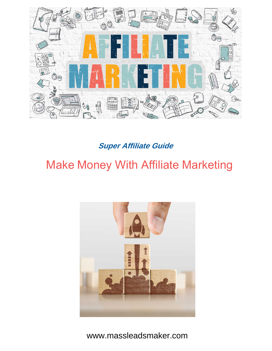

**Super Affiliate Guide**

# Make Money With Affiliate Marketing



[www.massleadsmaker.com](http://www.massleadsmaker.com)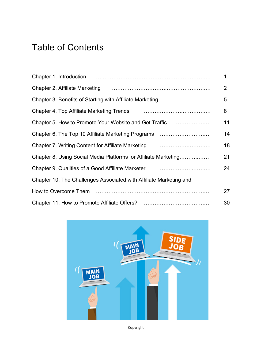|                                                                                                              | 2  |
|--------------------------------------------------------------------------------------------------------------|----|
|                                                                                                              | 5  |
|                                                                                                              | 8  |
| Chapter 5. How to Promote Your Website and Get Traffic                                                       | 11 |
| Chapter 6. The Top 10 Affiliate Marketing Programs                                                           | 14 |
| Chapter 7. Writing Content for Affiliate Marketing <b>Chapter 7. Writing Content for Affiliate Marketing</b> | 18 |
| Chapter 8. Using Social Media Platforms for Affiliate Marketing                                              | 21 |
|                                                                                                              | 24 |
| Chapter 10. The Challenges Associated with Affiliate Marketing and                                           |    |
|                                                                                                              | 27 |
|                                                                                                              | 30 |



Copyright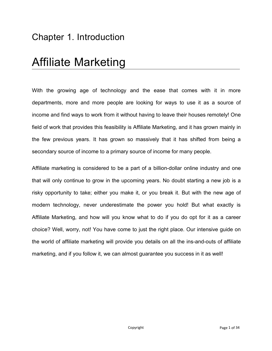## Chapter 1. Introduction

# Affiliate Marketing

With the growing age of technology and the ease that comes with it in more departments, more and more people are looking for ways to use it as a source of income and find ways to work from it without having to leave their houses remotely! One field of work that provides this feasibility is Affiliate Marketing, and it has grown mainly in the few previous years. It has grown so massively that it has shifted from being a secondary source of income to a primary source of income for many people.

Affiliate marketing isconsidered to be a part of a billion-dollar online industry and one that will only continue to grow in the upcoming years. No doubt starting a new job is a risky opportunity to take; either you make it, or you break it. But with the new age of modern technology, never underestimate the power you hold! But what exactly is Affiliate Marketing, and how will you know what to do if you do opt for it as a career choice? Well, worry, not! You have come to just the right place. Our intensive guide on the world of affiliate marketing will provide you details on all the ins-and-outs of affiliate marketing, and if you follow it, we can almost guarantee you success in it as well!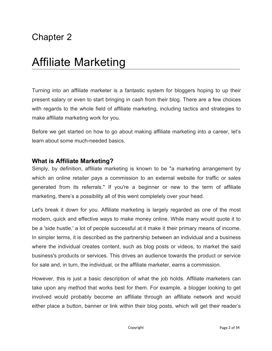# Affiliate Marketing

Turning into an affiliate marketer is a fantastic system for bloggers hoping to up their present salary or even to start bringing in cash from their blog. There are a few choices with regards to the whole field of affiliate marketing, including tactics and strategies to make affiliate marketing work for you.

Before we get started on how to go about making affiliate marketing into a career, let's learn about some much-needed basics.

#### **What is Affiliate Marketing?**

Simply, by definition, affiliate marketing is known to be "a marketing arrangement by which an online retailer pays a commission to an external website for traffic or sales generated from its referrals." If you're a beginner or new to the term of affiliate marketing, there's a possibility all of this went completely over your head.

Let's break it down for you. Affiliate marketing is largely regarded as one of the most modern, quick and effective ways to make money online. While many would quote it to be a 'side hustle,' a lot of people successful at it make it their primary means of income. In simpler terms, it is described as the partnership between an individual and a business where the individual creates content, such as blog posts or videos, to market the said business's products or services. This drives an audience towards the product or service for sale and, in turn, the individual, or the affiliate marketer, earns a commission.

However, this is just a basic description of what the job holds. Affiliate marketers can take upon any method that works best for them. For example, a blogger looking to get involved would probably become an affiliate through an affiliate network and would either place a button, banner or link within their blog posts, which will get their reader's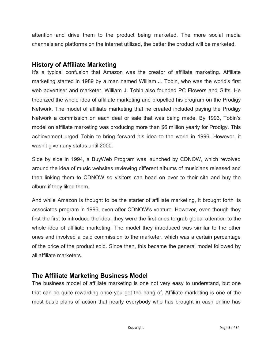attention and drive them to the product being marketed. The more social media channels and platforms on the internet utilized, the better the product will be marketed.

#### **History of Affiliate Marketing**

It's a typical confusion that Amazon was the creator of affiliate marketing. Affiliate marketing started in 1989 by a man named William J. Tobin, who was the world's first web advertiser and marketer. William J. Tobin also founded PC Flowers and Gifts. He theorized the whole idea of affiliate marketing and propelled his program on the Prodigy Network. The model of affiliate marketing that he created included paying the Prodigy Network a commission on each deal or sale that was being made. By 1993, Tobin's model on affiliate marketing was producing more than \$6 million yearly for Prodigy. This achievement urged Tobin to bring forward his idea to the world in 1996. However, it wasn't given any status until 2000.

Side by side in 1994, a BuyWeb Program was launched by CDNOW, which revolved around the idea of music websites reviewing different albums of musicians released and then linking them to CDNOW so visitors can head on over to their site and buy the album if they liked them.

And while Amazon is thought to be the starter of affiliate marketing, it brought forth its associates program in 1996, even after CDNOW's venture. However, even though they first the first to introduce the idea, they were the first ones to grab global attention to the whole idea of affiliate marketing. The model they introduced was similar to the other ones and involved a paid commission to the marketer, which was a certain percentage of the price of the product sold. Since then, this became the general model followed by all affiliate marketers.

### **The Affiliate Marketing Business Model**

The business model of affiliate marketing is one not very easy to understand, but one that can be quite rewarding once you get the hang of. Affiliate marketing is one of the most basic plans of action that nearly everybody who has brought in cash online has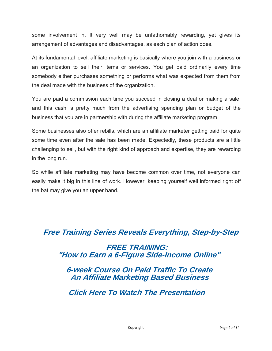some involvement in. It very well may be unfathomably rewarding, yet gives its arrangement of advantages and disadvantages, as each plan of action does.

At its fundamental level, affiliate marketing is basically where you join with a business or an organization to sell their items or services. You get paid ordinarily every time somebody either purchases something or performs what was expected from them from the deal made with the business of the organization.

You are paid a commission each time you succeed in closing a deal or making a sale, and this cash is pretty much from the advertising spending plan or budget of the business that you are in partnership with during the affiliate marketing program.

Some businesses also offer rebills, which are an affiliate marketergetting paid for quite some time even after the sale has been made. Expectedly, these products are a little challenging to sell, but with the right kind of approach and expertise, they are rewarding in the long run.

So while affiliate marketing may have become common over time, not everyone can easily make it big in this line of work. However, keeping yourself well informed right off the bat may give you an upper hand.

### **[Free Training Series Reveals Everything, Step-by-Step](https://bit.ly/2VQxfco) FREE TRAINING: "How to Earn a 6-Figure Side-Income Online"**

 **6-week Course On Paid Traffic To Create An Affiliate Marketing Based Business**

 **Click Here To Watch The Presentation**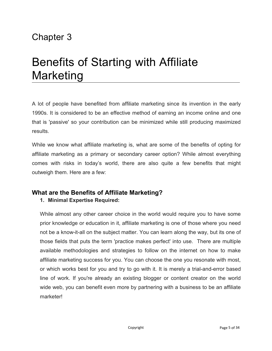# Benefits of Starting with Affiliate Marketing

A lot of people have benefited from affiliate marketing since its invention in the early 1990s. It is considered to be an effective method of earning an income online and one that is 'passive' so your contribution can be minimized while still producing maximized results.

While we know what affiliate marketing is, what are some of the benefits of opting for affiliate marketing as a primary or secondary career option? While almost everything comes with risks in today's world, there are also quite a few benefits that might outweigh them. Here are a few:

#### **What are the Benefits of Affiliate Marketing?**

#### **1. Minimal Expertise Required:**

While almost any other career choice in the world would require you to have some prior knowledge or education in it, affiliate marketing isone of those where you need not be a know-it-all on the subject matter. You can learn along the way, but its one of those fields that puts the term 'practice makes perfect' into use. There are multiple available methodologies and strategies to follow on the internet on how to make affiliate marketing success for you. You can choose the one you resonate with most, or which works best for you and try to go with it. It is merely a trial-and-error based line of work. If you're already an existing blogger or content creator on the world wide web, you can benefit even more by partnering with a business to be an affiliate marketer!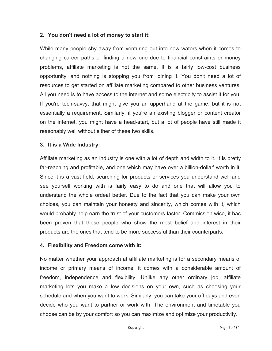#### **2. You don't need a lot of money to start it:**

While many people shy away from venturing out into new waters when it comes to changing career paths or finding a new one due to financial constraints or money problems, affiliate marketing is not the same. It is a fairly low-cost business opportunity, and nothing is stopping you from joining it. You don't need a lot of resources to get started on affiliate marketing compared to other business ventures. All you need is to have access to the internet and some electricity to assist it for you! If you're tech-savvy, that might give you an upperhand at the game, but it is not essentially a requirement. Similarly, if you're an existing blogger or content creator on the internet, you might have a head-start, but a lot of people have still made it reasonably well without either of these two skills.

#### **3. It is a Wide Industry:**

Affiliate marketing as an industry is one with a lot of depth and width to it. It is pretty far-reaching and profitable, and one which may have over a billion-dollar' worth in it. Since it is a vast field, searching for products or services you understand well and see yourself working with is fairly easy to do and one that will allow you to understand the whole ordeal better. Due to the fact that you can make your own choices, you can maintain your honesty and sincerity, which comes with it, which would probably help earn the trust of your customers faster. Commission wise, it has been proven that those people who show the most belief and interest in their products are the ones that tend to be more successful than their counterparts.

#### **4. Flexibility and Freedom come with it:**

No matter whether your approach at affiliate marketing is for a secondary means of income or primary means of income, it comes with a considerable amount of freedom, independence and flexibility. Unlike any other ordinary job, affiliate marketing lets you make a few decisions on your own, such as choosing your schedule and when you want to work. Similarly, you can take your off days and even decide who you want to partner or work with. The environment and timetable you choose can be by your comfort so you can maximize and optimize your productivity.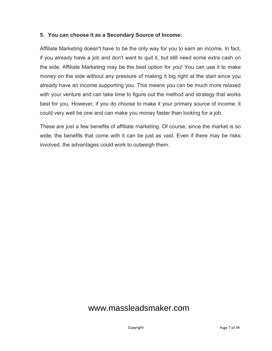#### **5. You can choose it as a Secondary Source of Income:**

Affiliate Marketing doesn't have to be the only way for you to earn an income. In fact, if you already have a job and don't want to quit it, but still need some extra cash on the side. Affiliate Marketing may be the best option for you! You can use it to make money on the side without any pressure of making it big right at the start since you already have an income supporting you. This means you can be much more relaxed with your venture and can take time to figure out the method and strategy that works best for you. However, if you do choose to make it your primary source of income, it could very well be one and can make you money faster than looking for a job.

These are just a few benefits of affiliate marketing. Of course, since the market is so wide, the benefits that come with it can be just as vast. Even if there may be risks involved, the advantages could work to outweigh them.

### [www.massleadsmaker.com](http://www.massleadsmaker.com)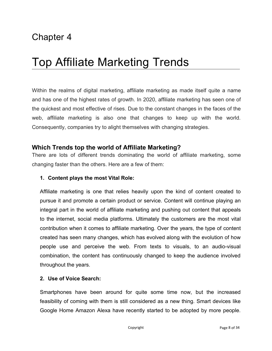# Top Affiliate Marketing Trends

Within the realms of digital marketing, affiliate marketing as made itself quite a name and has one of the highest rates of growth. In 2020, affiliate marketing has seen one of the quickest and most effective of rises. Due to the constant changes in the faces of the web, affiliate marketing is also one that changes to keep up with the world. Consequently, companies try to alight themselves with changing strategies.

#### **Which Trends top the world of Affiliate Marketing?**

There are lots of different trends dominating the world of affiliate marketing, some changing faster than the others. Here are a few of them:

#### **1. Content plays the most Vital Role:**

Affiliate marketing is one that relies heavily upon the kind of content created to pursue it and promote a certain product or service. Content will continue playing an integral part in the world of affiliate marketing and pushing out content that appeals to the internet, social media platforms. Ultimately the customers are the most vital contribution when it comes to affiliate marketing. Over the years, the type of content created has seen many changes, which has evolved along with the evolution of how people use and perceive the web. From texts to visuals, to an audio-visual combination, the content has continuously changed to keep the audience involved throughout the years.

#### **2. Use of Voice Search:**

Smartphones have been around for quite some time now, but the increased feasibility of coming with them is still considered as a new thing. Smart devices like Google Home Amazon Alexa have recently started to be adopted by more people.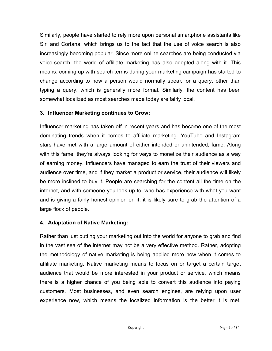Similarly, people have started to rely more upon personal smartphone assistants like Siri and Cortana, which brings us to the fact that the use of voice search is also increasingly becoming popular. Since more online searches are being conducted via voice-search, the world of affiliate marketing has also adopted along with it. This means, coming up with search terms during your marketing campaign has started to change according to how a person would normally speak for a query, other than typing a query, which is generally more formal. Similarly, the content has been somewhat localized as most searches made today are fairly local.

#### **3. Influencer Marketing continues to Grow:**

Influencer marketing has taken off in recent years and has become one of the most dominating trends when it comes to affiliate marketing. YouTube and Instagram stars have met with a large amount of either intended or unintended, fame. Along with this fame, they're always looking for ways to monetize their audience as a way of earning money. Influencers have managed to earn the trust of their viewers and audience over time, and if they market a product or service, their audience will likely be more inclined to buy it. People are searching for the content all the time on the internet, and with someone you look up to, who has experience with what you want and is giving a fairly honest opinion on it, it is likely sure to grab the attention of a large flock of people.

#### **4. Adaptation of Native Marketing:**

Rather than just putting your marketing out into the world for anyone to grab and find in the vast sea of the internet may not be a very effective method. Rather, adopting the methodology of native marketing is being applied more now when it comes to affiliate marketing. Native marketing means to focus on or target a certain target audience that would be more interested in your product or service, which means there is a higher chance of you being able to convert this audience into paying customers. Most businesses, and even search engines, are relying upon user experience now, which means the localized information is the better it is met.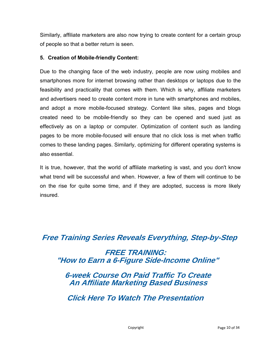Similarly, affiliate marketers are also now trying to create content for a certain group of people so that a better return is seen.

#### **5. Creation of Mobile-friendly Content:**

Due to the changing face of the web industry, people are now using mobiles and smartphones more for internet browsing rather than desktops or laptops due to the feasibility and practicality that comes with them. Which is why, affiliate marketers and advertisers need to create content more in tune with smartphones and mobiles, and adopt a more mobile-focused strategy. Content like sites, pages and blogs created need to be mobile-friendly so they can be opened and sued just as effectively as on a laptop or computer. Optimization of content such as landing pages to be more mobile-focused will ensure that no click loss is met when traffic comes to these landing pages. Similarly, optimizing for different operating systems is also essential.

It is true, however, that the world of affiliate marketing is vast, and you don't know what trend will be successful and when. However, a few of them will continue to be on the rise for quite some time, and if they are adopted, success is more likely insured.

**[Free Training Series Reveals Everything, Step-by-Step](https://bit.ly/2VQxfco)**

 **FREE TRAINING: "How to Earn a 6-Figure Side-Income Online"**

 **6-week Course On Paid Traffic To Create An Affiliate Marketing Based Business**

 **Click Here To Watch The Presentation**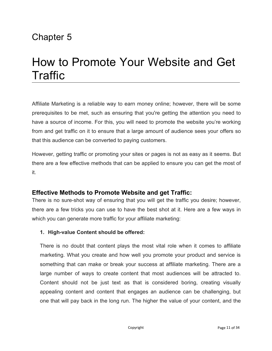# How to Promote Your Website and Get Traffic

Affiliate Marketing is a reliable way to earn money online; however, there will be some prerequisites to be met, such as ensuring that you're getting the attention you need to have a source of income. For this, you will need to promote the website you're working from and get traffic on it to ensure that a large amount of audience sees your offers so that this audience can be converted to paying customers.

However, getting traffic or promoting your sites or pages is not as easy as it seems. But there are a few effective methods that can be applied to ensure you can get the most of it.

#### **Effective Methods to Promote Website and get Traffic:**

There is no sure-shot way of ensuring that you will get the traffic you desire; however, there are a few tricks you can use to have the best shot at it. Here are a few ways in which you can generate more traffic for your affiliate marketing:

#### **1. High-value Content should be offered:**

There is no doubt that content plays the most vital role when it comes to affiliate marketing. What you create and how well you promote your product and service is something that can make or break your success at affiliate marketing. There are a large number of ways to create content that most audiences will be attracted to. Content should not be just text as that is considered boring, creating visually appealing content and content that engages an audience can be challenging, but one that will pay back in the long run. The higher the value of your content, and the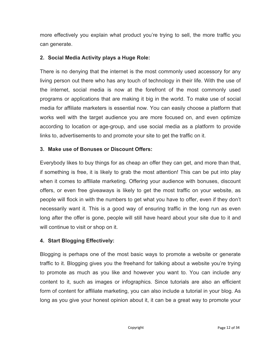more effectively you explain what product you're trying to sell, the more traffic you can generate.

#### **2. Social Media Activity plays a Huge Role:**

There is no denying that the internet is the most commonly used accessory for any living person out there who has any touch of technology in their life. With the use of the internet, social media is now at the forefront of the most commonly used programs or applications that are making it big in the world. To make use of social media for affiliate marketers is essential now. You can easily choose a platform that works well with the target audience you are more focused on, and even optimize according to location or age-group, and use social media as a platform to provide links to, advertisements to and promote your site to get the traffic on it.

#### **3. Make use of Bonuses or Discount Offers:**

Everybody likes to buy things for as cheap an offer they can get, and more than that, if something is free, it is likely to grab the most attention! This can be put into play when it comes to affiliate marketing. Offering your audience with bonuses, discount offers, or even free giveaways is likely to get the most traffic on your website, as people will flock in with the numbers to get what you have to offer, even if they don't necessarily want it. This is a good way of ensuring traffic in the long run as even long after the offer is gone, people will still have heard about your site due to it and will continue to visit or shop on it.

#### **4. Start Blogging Effectively:**

Blogging is perhaps one of the most basic ways to promote a website or generate traffic to it. Blogging gives you the freehand for talking about a website you're trying to promote as much as you like and however you want to. You can include any content to it, such as images or infographics. Since tutorials are also an efficient form of content for affiliate marketing, you can also include a tutorial in your blog. As long as you give your honest opinion about it, it can be a great way to promote your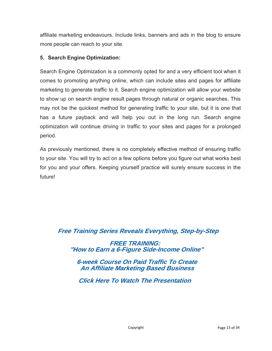affiliate marketing endeavours. Include links, banners and ads in the blog to ensure more people can reach to your site.

#### **5. Search Engine Optimization:**

Search Engine Optimization is a commonly opted for and a very efficient tool when it comes to promoting anything online, which can include sites and pages for affiliate marketing to generate traffic to it. Search engine optimization will allow your website to show up on search engine result pages through natural or organic searches. This may not be the quickest method for generating traffic to your site, but it is one that has a future payback and will help you out in the long run. Search engine optimization will continue driving in traffic to your sites and pages for a prolonged period.

As previously mentioned, there is no completely effective method of ensuring traffic to your site. You will try to act on a few options before you figure out what works best for you and your offers. Keeping yourself practice will surely ensure success in the future!

### **[Free Training Series Reveals Everything, Step-by-Step](https://bit.ly/2VQxfco)**

 **FREE TRAINING: "How to Earn a 6-Figure Side-Income Online"**

 **6-week Course On Paid Traffic To Create An Affiliate Marketing Based Business**

 **Click Here To Watch The Presentation**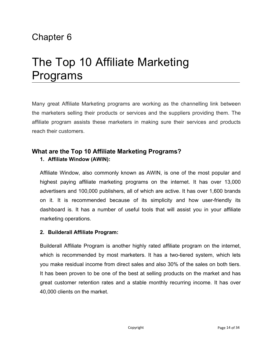# The Top 10 Affiliate Marketing Programs

Many great Affiliate Marketing programs are working as the channelling link between the marketers selling their products or services and the suppliers providing them. The affiliate program assists these marketers in making sure their services and products reach their customers.

#### **What are the Top 10 Affiliate Marketing Programs? 1. Affiliate Window (AWIN):**

Affiliate Window, also commonly known as AWIN, is one of the most popular and highest paying affiliate marketing programs on the internet. It has over 13,000 advertisers and 100,000 publishers, all of which are active. It has over 1,600 brands on it. It is recommended because of its simplicity and how user-friendly its dashboard is. It has a number of useful tools that will assist you in your affiliate marketing operations.

#### **2. Builderall Affiliate Program:**

Builderall Affiliate Program is another highly rated affiliate program on the internet, which is recommended by most marketers. It has a two-tiered system, which lets you make residual income from direct sales and also 30% of the sales on both tiers. It has been proven to be one of the best at selling products on the market and has great customer retention rates and a stable monthly recurring income. It has over 40,000 clients on the market.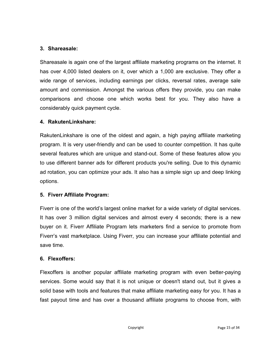#### **3. Shareasale:**

Shareasale is again one of the largest affiliate marketing programs on the internet. It has over 4,000 listed dealers on it, over which a 1,000 are exclusive. They offer a wide range of services, including earnings per clicks, reversal rates, average sale amount and commission. Amongst the various offers they provide, you can make comparisons and choose one which works best for you. They also have a considerably quick payment cycle.

#### **4. RakutenLinkshare:**

RakutenLinkshare is one of the oldest and again, a high paying affiliate marketing program. It is very user-friendly and can be used to counter competition. It has quite several features which are unique and stand-out. Some of these features allow you to use different banner ads for different products you're selling. Due to this dynamic ad rotation, you can optimize your ads. It also has a simple sign up and deep linking options.

#### **5. Fiverr Affiliate Program:**

Fiverr is one of the world's largest online market for a wide variety of digital services. It has over 3 million digital services and almost every 4 seconds; there is a new buyer on it. Fiverr Affiliate Program lets marketers find a service to promote from Fiverr's vast marketplace. Using Fiverr, you can increase your affiliate potential and save time.

#### **6. Flexoffers:**

Flexoffers is another popular affiliate marketing program with even better-paying services. Some would say that it is not unique or doesn't stand out, but it gives a solid base with tools and features that make affiliate marketing easy for you. It has a fast payout time and has over a thousand affiliate programs to choose from, with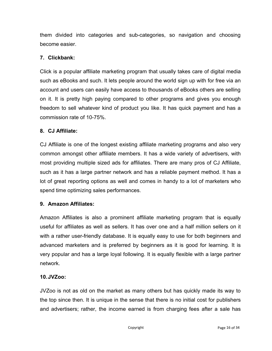them divided into categories and sub-categories, so navigation and choosing become easier.

#### **7. Clickbank:**

Click is a popular affiliate marketing program that usually takes care of digital media such as eBooks and such. It lets people around the world sign up with for free via an account and users can easily have access to thousands of eBooks others are selling on it. It is pretty high paying compared to other programs and gives you enough freedom to sell whatever kind of product you like. It has quick payment and has a commission rate of 10-75%.

#### **8. CJ Affiliate:**

CJ Affiliate is one of the longest existing affiliate marketing programs and also very common amongst other affiliate members. It has a wide variety of advertisers, with most providing multiple sized ads for affiliates. There are many pros of CJ Affiliate, such as it has a large partner network and has a reliable payment method. It has a lot of great reporting options as well and comes in handy to a lot of marketers who spend time optimizing sales performances.

#### **9. Amazon Affiliates:**

Amazon Affiliates is also a prominent affiliate marketing program that is equally useful for affiliates as well as sellers. It has over one and a half million sellers on it with a rather user-friendly database. It is equally easy to use for both beginners and advanced marketers and is preferred by beginners as it is good for learning. It is very popular and has a large loyal following. It is equally flexible with a large partner network.

#### **10.JVZoo:**

JVZoo isnot as old on the market as many others but has quickly made its way to the top since then. It is unique in the sense that there is no initial cost for publishers and advertisers; rather, the income earned is from charging fees after a sale has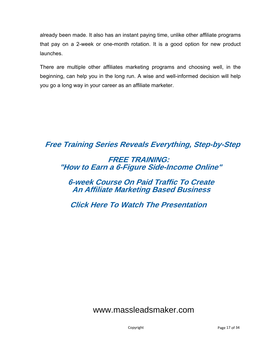already been made. It also has an instant paying time, unlike other affiliate programs that pay on a 2-week or one-month rotation. It is a good option for new product launches.

There are multiple other affiliates marketing programs and choosing well, in the beginning, can help you in the long run. A wise and well-informed decision will help you go a long way in your career as an affiliate marketer.

**[Free Training Series Reveals Everything, Step-by-Step](https://bit.ly/2VQxfco)**

### **FREE TRAINING: "How to Earn a 6-Figure Side-Income Online"**

### **6-week Course On Paid Traffic To Create An Affiliate Marketing Based Business**

 **Click Here To Watch The Presentation**

### [www.massleadsmaker.com](http://www.massleadsmaker.com)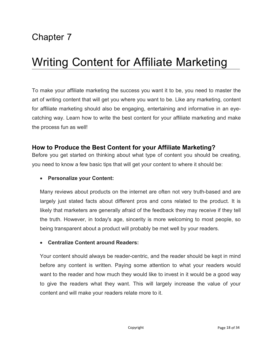# Writing Content for Affiliate Marketing

To make your affiliate marketing the success you want it to be, you need to master the art of writing content that will get you where you want to be.Like any marketing, content for affiliate marketing should also be engaging, entertaining and informative in an eye catching way. Learn how to write the best content for your affiliate marketing and make the process fun as well!

#### **How to Produce the Best Content for your Affiliate Marketing?**

Before you get started on thinking about what type of content you should be creating, you need to know a few basic tips that will get your content to where it should be:

#### **Personalize your Content:**

Many reviews about products on the internet are often not very truth-based and are largely just stated facts about different pros and cons related to the product. It is likely that marketers are generally afraid of the feedback they may receive if they tell the truth. However, in today's age, sincerity is more welcoming to most people, so being transparent about a product will probably be met well by your readers.

#### **Centralize Content around Readers:**

Your content should always be reader-centric, and the reader should be kept in mind before any content is written. Paying some attention to what your readers would want to the reader and how much they would like to invest in it would be a good way to give the readers what they want. This will largely increase the value of your content and will make your readers relate more to it.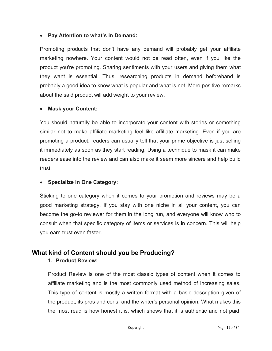#### **Pay Attention to what's in Demand:**

Promoting products that don't have any demand will probably get your affiliate marketing nowhere. Your content would not be read often, even if you like the product you're promoting. Sharing sentiments with your users and giving them what they want is essential. Thus, researching products in demand beforehand is probably a good idea to know what is popular and what is not.More positive remarks about the said product will add weight to your review.

#### **Mask your Content:**

You should naturally be able to incorporate your content with stories or something similar not to make affiliate marketing feel like affiliate marketing. Even if you are promoting a product, readers can usually tell that your prime objective is just selling it immediately as soon as they start reading. Using a technique to mask it can make readers ease into the review and can also make it seem more sincere and help build trust.

#### **Specialize in One Category:**

Sticking to one category when it comes to your promotion and reviews may be a good marketing strategy. If you stay with one niche in all your content, you can become the go-to reviewer for them in the long run, and everyone will know who to consult when that specific category of items or services is in concern. This will help you earn trust even faster.

#### **What kind of Content should you be Producing?**

#### **1. Product Review:**

Product Review is one of the most classic types of content when it comes to affiliate marketing and is the most commonly used method of increasing sales. This type of content is mostly a written format with a basic description given of the product, its pros and cons, and the writer's personal opinion. What makes this the most read is how honest it is, which shows that it is authentic and not paid.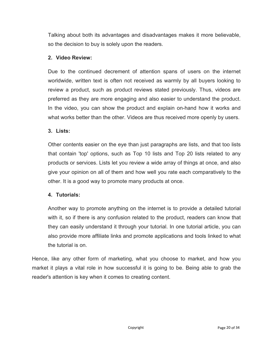Talking about both its advantages and disadvantages makes it more believable, so the decision to buy is solely upon the readers.

#### **2. Video Review:**

Due to the continued decrement of attention spans of users on the internet worldwide, written text is often not received as warmly by all buyers looking to review a product, such as product reviews stated previously. Thus, videos are preferred as they are more engaging and also easier to understand the product. In the video, you can show the product and explain on-hand how it works and what works better than the other. Videos are thus received more openly by users.

#### **3. Lists:**

Other contents easier on the eye than just paragraphs are lists, and that too lists that contain 'top' options, such as Top 10 lists and Top 20 lists related to any products or services. Lists let you review a wide array of things at once, and also give your opinion on all of them and how well you rate each comparatively to the other. It is a good way to promote many products at once.

#### **4. Tutorials:**

Another way to promote anything on the internet is to provide a detailed tutorial with it, so if there is any confusion related to the product, readers can know that they can easily understand it through your tutorial. In one tutorial article, you can also provide more affiliate links and promote applications and tools linked to what the tutorial is on.

Hence, like any other form of marketing, what you choose to market, and how you market it plays a vital role in how successful it is going to be. Being able to grab the reader's attention is key when it comes to creating content.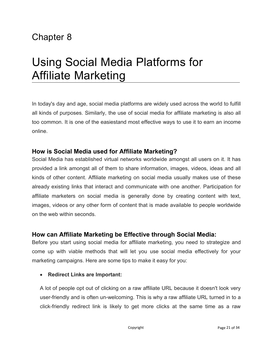# Using Social Media Platforms for Affiliate Marketing

In today's day and age, social media platforms are widely used across the world to fulfill all kinds of purposes. Similarly, the use of social media for affiliate marketing is also all too common. It is one of the easiestand most effective ways to use it to earn an income online.

#### **How is Social Media used for Affiliate Marketing?**

Social Media has established virtual networks worldwide amongst all users on it. It has provided a link amongst all of them to share information, images, videos, ideas and all kinds of other content. Affiliate marketing on social media usually makes use of these already existing links that interact and communicate with one another. Participation for affiliate marketers on social media is generally done by creating content with text, images, videos or any other form of content that is made available to people worldwide on the web within seconds.

#### **How can Affiliate Marketing be Effective through Social Media:**

Before you start using social media for affiliate marketing, you need to strategize and come up with viable methods that will let you use social media effectively for your marketing campaigns. Here are some tips to make it easy for you:

#### **Redirect Links are Important:**

A lot of people opt out of clicking on a raw affiliate URL because it doesn't look very user-friendly and is often un-welcoming. This is why a raw affiliate URL turned in to a click-friendly redirect link is likely to get more clicks at the same time as a raw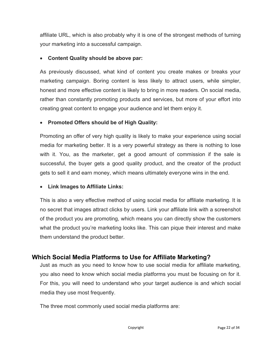affiliate URL, which is also probably why it is one of the strongest methods of turning your marketing into a successful campaign.

#### **Content Quality should be above par:**

As previously discussed, what kind of content you create makes or breaks your marketing campaign. Boring content is less likely to attract users, while simpler, honest and more effective content is likely to bring in more readers. On social media, rather than constantly promoting products and services, but more of your effort into creating great content to engage your audience and let them enjoy it.

#### **Promoted Offers should be of High Quality:**

Promoting an offer of very high quality is likely to make your experience using social media for marketing better. It is a very powerful strategy as there is nothing to lose with it. You, as the marketer, get a good amount of commission if the sale is successful, the buyer gets a good quality product, and the creator of the product gets to sell it and earn money, which means ultimately everyone wins in the end.

#### **Link Images to Affiliate Links:**

This is also a very effective method of using social media for affiliate marketing. It is no secret that images attract clicks by users. Link your affiliate link with a screenshot of the product you are promoting, which means you can directly show the customers what the product you're marketing looks like. This can pique their interest and make them understand the product better.

### **Which Social Media Platforms to Use for Affiliate Marketing?**

Just as much as you need to know how to use social media for affiliate marketing, you also need to know which social media platforms you must be focusing on for it. For this, you will need to understand who your target audience is and which social media they use most frequently.

The three most commonly used social media platforms are: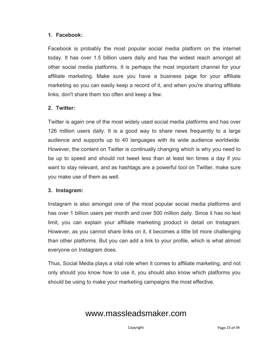#### **1. Facebook:**

Facebook is probably the most popular social media platform on the internet today. It has over 1.5 billion users daily and has the widest reach amongst all other social media platforms. It is perhaps the most important channel for your affiliate marketing.Make sure you have a business page for your affiliate marketing so you can easily keep a record of it, and when you're sharing affiliate links, don't share them too often and keep a few.

#### **2. Twitter:**

Twitter is again one of the mostwidely used social media platforms and has over 126 million users daily. It is a good way to share news frequently to a large audience and supports up to 40 languages with its wide audience worldwide. However, the content on Twitter is continually changing which is why you need to be up to speed and should not tweet less than at least ten times a day if you want to stay relevant, and as hashtags are a powerful tool on Twitter, make sure you make use of them as well.

#### **3. Instagram:**

Instagram is also amongst one of the most popular social media platforms and has over 1 billion users per month and over 500 million daily. Since it has no text limit, you can explain your affiliate marketing product in detail on Instagram. However, as you cannot share links on it, it becomes a little bit more challenging than other platforms. But you can add a link to your profile, which is what almost everyone on Instagram does.

Thus, Social Media plays a vital role when it comes to affiliate marketing, and not only should you know how to use it, you should also know which platforms you should be using to make your marketing campaigns the most effective.

### [www.massleadsmaker.com](http://www.massleadsmaker.com)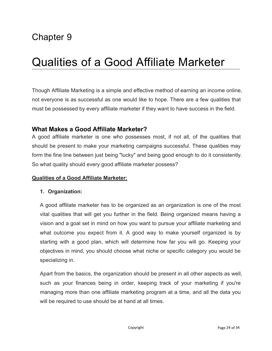# Qualities of a Good Affiliate Marketer

Though Affiliate Marketing is a simple and effective method of earning an income online, not everyone is as successful as one would like to hope. There are a few qualities that must be possessed by every affiliate marketerif they want to have success in the field.

#### **What Makes a Good Affiliate Marketer?**

A good affiliate marketer is one who possesses most, if not all, of the qualities that should be present to make your marketing campaigns successful. These qualities may form the fine line between just being "lucky" and being good enough to do it consistently. So what quality should every good affiliate marketer possess?

#### **Qualities of a Good Affiliate Marketer:**

#### **1. Organization:**

A good affiliate marketer has to be organized as an organization is one of the most vital qualities that will get you further in the field. Being organized means having a vision and a goal set in mind on how you want to pursue your affiliate marketing and what outcome you expect from it. A good way to make yourself organized is by starting with a good plan, which will determine how far you will go. Keeping your objectives in mind, you should choose what niche or specific category you would be specializing in.

Apart from the basics, the organization should be present in all other aspects as well, such as your finances being in order, keeping track of your marketing if you're managing more than one affiliate marketing program at a time, and all the data you will be required to use should be at hand at all times.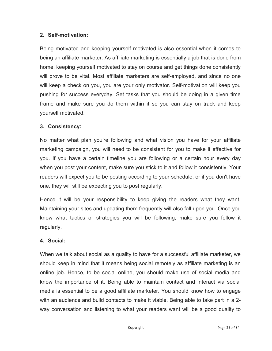#### **2. Self-motivation:**

Being motivated and keeping yourself motivated is also essential when it comes to being an affiliate marketer. As affiliate marketing is essentially a job that is done from home, keeping yourself motivated to stay on course and get things done consistently will prove to be vital. Most affiliate marketers are self-employed, and since no one will keep a check on you, you are your only motivator. Self-motivation will keep you pushing for success everyday. Set tasks that you should be doing in a given time frame and make sure you do them within it so you can stay on track and keep yourself motivated.

#### **3. Consistency:**

No matter what plan you're following and what vision you have for your affiliate marketing campaign, you will need to be consistent for you to make it effective for you. If you have a certain timeline you are following or a certain hour every day when you post your content, make sure you stick to it and follow it consistently. Your readers will expect you to be posting according to your schedule, or if you don't have one, they will still be expecting you to post regularly.

Hence it will be your responsibility to keep giving the readers what they want. Maintaining your sites and updating them frequently will also fall upon you. Once you know what tactics or strategies you will be following, make sure you follow it regularly.

#### **4. Social:**

When we talk about social as a quality to have for a successful affiliate marketer, we should keep in mind that it means being social remotely as affiliate marketing is an online job. Hence, to be social online, you should make use of socialmedia and know the importance of it. Being able to maintain contact and interact via social media is essential to be a good affiliate marketer. You should know how to engage with an audience and build contacts to make it viable. Being able to take part in a 2 way conversation and listening to what your readers want will be a good quality to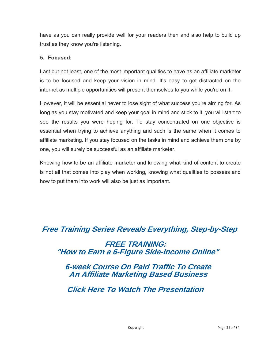have as you can really provide well for your readers then and also help to build up trust as they know you're listening.

#### **5. Focused:**

Last but not least, one of the most important qualities to have as an affiliate marketer is to be focused and keep your vision in mind. It's easy to get distracted on the internet as multiple opportunities will present themselves to you while you're on it.

However, it will be essential never to lose sight of what success you're aiming for. As long as you stay motivated and keep your goal in mind and stick to it, you will start to see the results you were hoping for. To stay concentrated on one objective is essential when trying to achieve anything and such is the same when it comes to affiliate marketing. If you stay focused on the tasks in mind and achieve them one by one, you will surely be successful as an affiliate marketer.

Knowing how to be an affiliate marketer and knowing what kind of content to create is not all that comes into play when working, knowing what qualities to possess and how to put them into work will also be just as important.

### **[Free Training Series Reveals Everything, Step-by-Step](https://bit.ly/2VQxfco)**

 **FREE TRAINING: "How to Earn a 6-Figure Side-Income Online"**

 **6-week Course On Paid Traffic To Create An Affiliate Marketing Based Business**

 **Click Here To Watch The Presentation**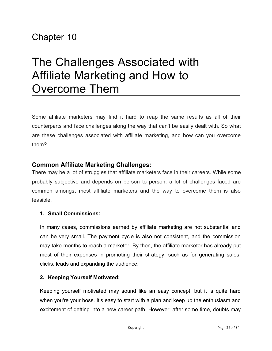# The Challenges Associated with Affiliate Marketing and How to Overcome Them

Some affiliate marketers may find it hard to reap the same results as all of their counterparts and face challenges along the way that can't be easily dealt with. So what are these challenges associated with affiliate marketing, and how can you overcome them?

#### **Common Affiliate Marketing Challenges:**

There may be a lot of struggles that affiliate marketers face in their careers. While some probably subjective and depends on person to person, a lot of challenges faced are common amongst most affiliate marketers and the way to overcome them is also feasible.

#### **1. Small Commissions:**

In many cases, commissions earned by affiliate marketing are not substantial and can be very small.The payment cycle is also not consistent, and the commission may take months to reach a marketer. By then, the affiliate marketer has already put most of their expenses in promoting their strategy, such as for generating sales, clicks, leads and expanding the audience.

#### **2. Keeping Yourself Motivated:**

Keeping yourself motivated may sound like an easy concept, but it is quite hard when you're your boss. It's easy to start with a plan and keep up the enthusiasm and excitement of getting into a new career path. However, after some time, doubts may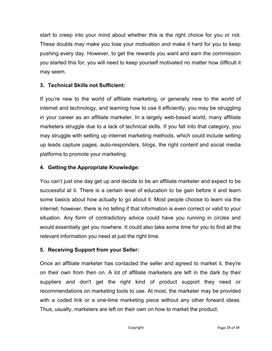start to creep into your mind about whether this is the right choice for you or not. These doubts may make you lose your motivation and make it hard for you to keep pushing every day. However, to get the rewards you want and earn the commission you started this for, you will need to keep yourself motivated no matter how difficult it may seem.

#### **3. Technical Skills not Sufficient:**

If you're new to the world of affiliate marketing, or generally new to the world of internet and technology, and learning how to use it efficiently, you may be struggling in your career as an affiliate marketer. In a largely web-based world, many affiliate marketers struggle due to a lack of technical skills. If you fall into that category, you may struggle with setting up internet marketing methods, which could include setting up leads capture pages, auto-responders, blogs, the right content and social media platforms to promote your marketing.

#### **4. Getting the Appropriate Knowledge:**

You can't just one day get up and decide to be an affiliate marketerand expect to be successful at it. There is a certain level of education to be gain before it and learn some basics about how actually to go about it. Most people choose to learn via the internet; however, there is no telling if that information is even correct or valid to your situation. Any form of contradictory advice could have you running in circles and would essentially get you nowhere. It could also take some time for you to find all the relevant information you need at just the right time.

#### **5. Receiving Support from your Seller:**

Once an affiliate marketer has contacted the seller and agreed to market it, they're on their own from then on. A lot of affiliate marketers are left in the dark by their suppliers and don't get the right kind of product support they need or recommendations on marketing tools to use. At most, the marketer may be provided with a coded link or a one-time marketing piece without any other forward ideas. Thus, usually, marketers are left on their own on how to market the product.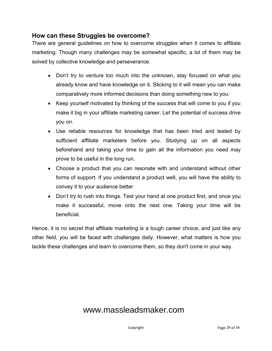#### **How can these Struggles be overcome?**

There are general guidelines on how to overcome struggles when it comes to affiliate marketing. Though many challenges may be somewhat specific, a lot of them may be solved by collective knowledge and perseverance.

- Don't try to venture too much into the unknown, stay focused on what you already know and have knowledge on it. Sticking to it will mean you can make comparatively more informed decisions than doing something new to you.
- Keep yourself motivated by thinking of the success that will come to you if you make it big in your affiliate marketing career. Let the potential of success drive you on.
- Use reliable resources for knowledge that has been tried and tested by sufficient affiliate marketers before you. Studying up on all aspects beforehand and taking your time to gain all the information you need may prove to be useful in the long run.
- Choose a product that you can resonate with and understand without other forms of support. If you understand a product well, you will have the ability to convey it to your audience better.
- Don't try to rush into things. Test your hand at one product first, and once you make it successful, move onto the next one. Taking your time will be beneficial.

Hence, it is no secret that affiliate marketing is a tough career choice, and just like any other field, you will be faced with challenges daily. However, what matters is how you tackle these challenges and learn to overcome them, so they don't come in your way.

### [www.massleadsmaker.com](http://www.massleadsmaker.com)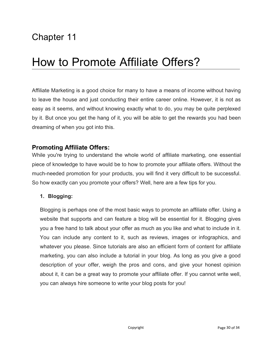# How to Promote Affiliate Offers?

Affiliate Marketing is a good choice for many to have a means of income without having to leave the house and just conducting their entire career online. However, it is not as easy as it seems, and without knowing exactly what to do, you may be quite perplexed by it. But once you get the hang of it, you will be able to get the rewards you had been dreaming of when you got into this.

#### **Promoting Affiliate Offers:**

While you're trying to understand the whole world of affiliate marketing, one essential piece of knowledge to have would be to how to promote youraffiliate offers. Without the much-needed promotion for your products, you will find it very difficult to be successful. So how exactly can you promote your offers? Well, here are a few tips for you.

#### **1. Blogging:**

Blogging is perhaps one of the most basic ways to promote an affiliate offer. Using a website that supports and can feature a blog will be essential for it. Blogging gives you a free hand to talk about your offer as much as you like and what to include in it. You can include any content to it, such as reviews, images or infographics, and whatever you please. Since tutorials are also an efficient form of content for affiliate marketing, you can also include a tutorial in your blog. As long as you give a good description of your offer, weigh the pros and cons, and give your honest opinion about it, it can be a great way to promote your affiliate offer. If you cannot write well, you can always hire someone to write your blog posts for you!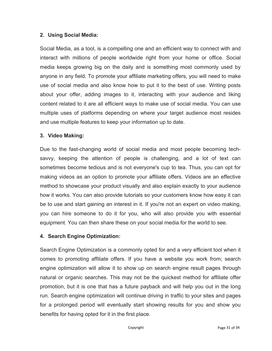#### **2. Using Social Media:**

Social Media, as a tool, is a compelling one and an efficient way to connect with and interact with millions of people worldwide right from your home or office. Social media keeps growing big on the daily and is something most commonly used by anyone in any field. To promote your affiliate marketing offers, you will need to make use of social media and also know how to put it to the best of use. Writing posts about your offer, adding images to it, interacting with your audience and liking content related to it are all efficient ways to make use of social media. You can use multiple uses of platforms depending on where your target audience most resides and use multiple features to keep your information up to date.

#### **3. Video Making:**

Due to the fast-changing world of social media and most people becoming tech savvy, keeping the attention of people is challenging, and a lot of text can sometimes become tedious and is not everyone's cup to tea. Thus, you can opt for making videos as an option to promote your affiliate offers. Videos are an effective method to showcase your product visually and also explain exactly to your audience how it works. You can also provide tutorials so your customers know how easy it can be to use and start gaining an interest in it. If you're not an expert on video making, you can hire someone to do it for you, who will also provide you with essential equipment. You can then share these on your social media for the world to see.

#### **4. Search Engine Optimization:**

Search Engine Optimization is a commonly opted for and a very efficient tool when it comes to promoting affiliate offers. If you have a website you work from; search engine optimization will allow it to show up on search engine result pages through natural or organic searches. This may not be the quickest method for affiliate offer promotion, but it is one that has a future payback and will help you out in the long run. Search engine optimization will continue driving in traffic to your sites and pages for a prolonged period will eventually start showing results for you and show you benefits for having opted for it in the first place.